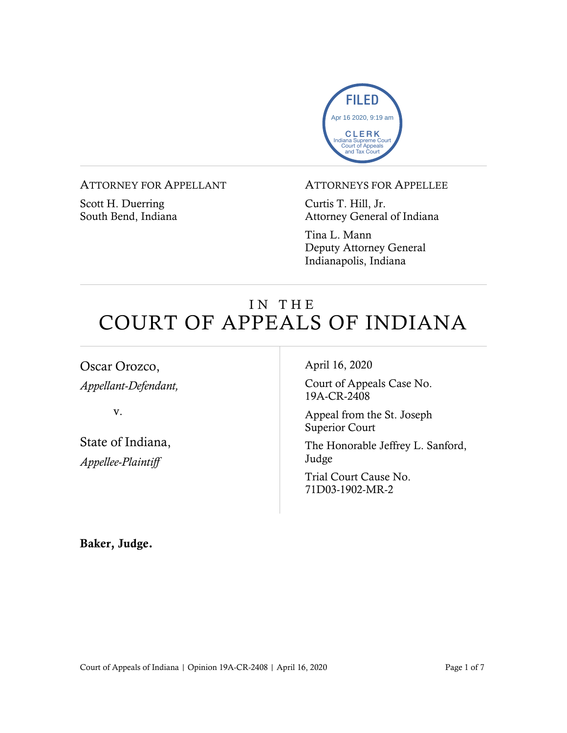

#### ATTORNEY FOR APPELLANT

Scott H. Duerring South Bend, Indiana

### ATTORNEYS FOR APPELLEE

Curtis T. Hill, Jr. Attorney General of Indiana

Tina L. Mann Deputy Attorney General Indianapolis, Indiana

# IN THE COURT OF APPEALS OF INDIANA

Oscar Orozco, *Appellant-Defendant,*

v.

State of Indiana, *Appellee-Plaintiff*

April 16, 2020

Court of Appeals Case No. 19A-CR-2408

Appeal from the St. Joseph Superior Court

The Honorable Jeffrey L. Sanford, Judge

Trial Court Cause No. 71D03-1902-MR-2

Baker, Judge.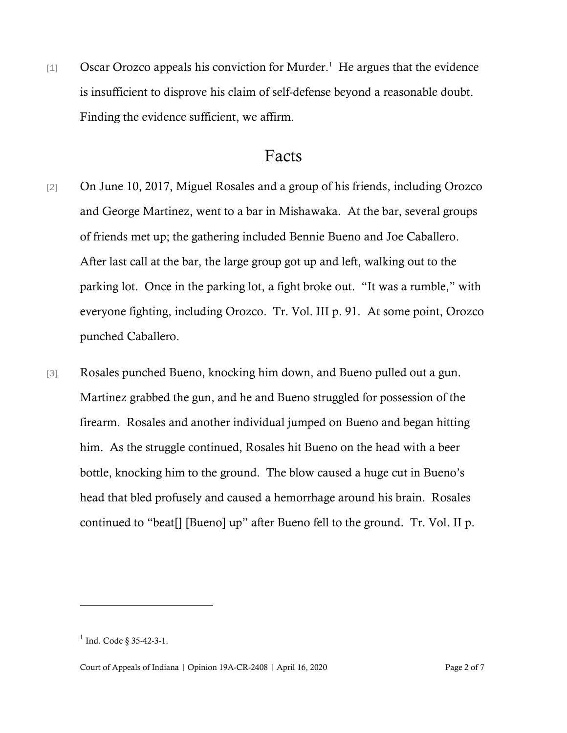$[1]$  Oscar Orozco appeals his conviction for Murder.<sup>1</sup> He argues that the evidence is insufficient to disprove his claim of self-defense beyond a reasonable doubt. Finding the evidence sufficient, we affirm.

## Facts

- [2] On June 10, 2017, Miguel Rosales and a group of his friends, including Orozco and George Martinez, went to a bar in Mishawaka. At the bar, several groups of friends met up; the gathering included Bennie Bueno and Joe Caballero. After last call at the bar, the large group got up and left, walking out to the parking lot. Once in the parking lot, a fight broke out. "It was a rumble," with everyone fighting, including Orozco. Tr. Vol. III p. 91. At some point, Orozco punched Caballero.
- [3] Rosales punched Bueno, knocking him down, and Bueno pulled out a gun. Martinez grabbed the gun, and he and Bueno struggled for possession of the firearm. Rosales and another individual jumped on Bueno and began hitting him. As the struggle continued, Rosales hit Bueno on the head with a beer bottle, knocking him to the ground. The blow caused a huge cut in Bueno's head that bled profusely and caused a hemorrhage around his brain. Rosales continued to "beat[] [Bueno] up" after Bueno fell to the ground. Tr. Vol. II p.

 $1$  Ind. Code § 35-42-3-1.

Court of Appeals of Indiana | Opinion 19A-CR-2408 | April 16, 2020 Page 2 of 7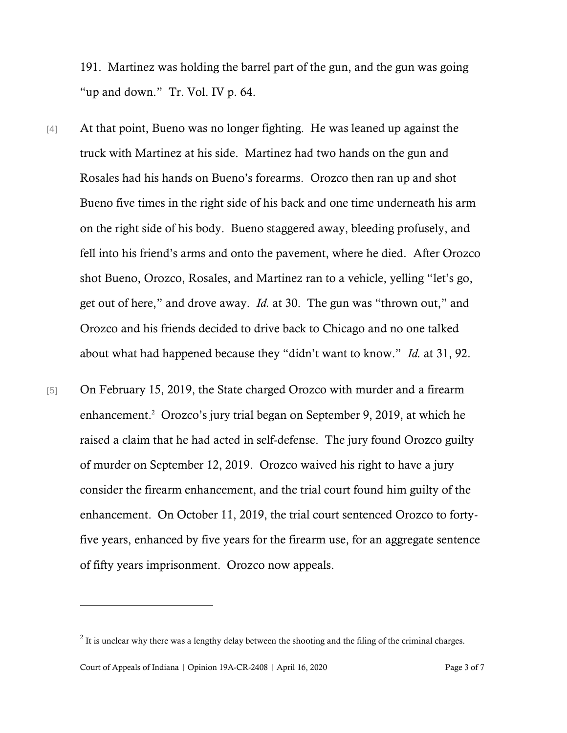191. Martinez was holding the barrel part of the gun, and the gun was going "up and down." Tr. Vol. IV p. 64.

- [4] At that point, Bueno was no longer fighting. He was leaned up against the truck with Martinez at his side. Martinez had two hands on the gun and Rosales had his hands on Bueno's forearms. Orozco then ran up and shot Bueno five times in the right side of his back and one time underneath his arm on the right side of his body. Bueno staggered away, bleeding profusely, and fell into his friend's arms and onto the pavement, where he died. After Orozco shot Bueno, Orozco, Rosales, and Martinez ran to a vehicle, yelling "let's go, get out of here," and drove away. *Id.* at 30. The gun was "thrown out," and Orozco and his friends decided to drive back to Chicago and no one talked about what had happened because they "didn't want to know." *Id.* at 31, 92.
- [5] On February 15, 2019, the State charged Orozco with murder and a firearm enhancement.<sup>2</sup> Orozco's jury trial began on September 9, 2019, at which he raised a claim that he had acted in self-defense. The jury found Orozco guilty of murder on September 12, 2019. Orozco waived his right to have a jury consider the firearm enhancement, and the trial court found him guilty of the enhancement. On October 11, 2019, the trial court sentenced Orozco to fortyfive years, enhanced by five years for the firearm use, for an aggregate sentence of fifty years imprisonment. Orozco now appeals.

 $2$  It is unclear why there was a lengthy delay between the shooting and the filing of the criminal charges.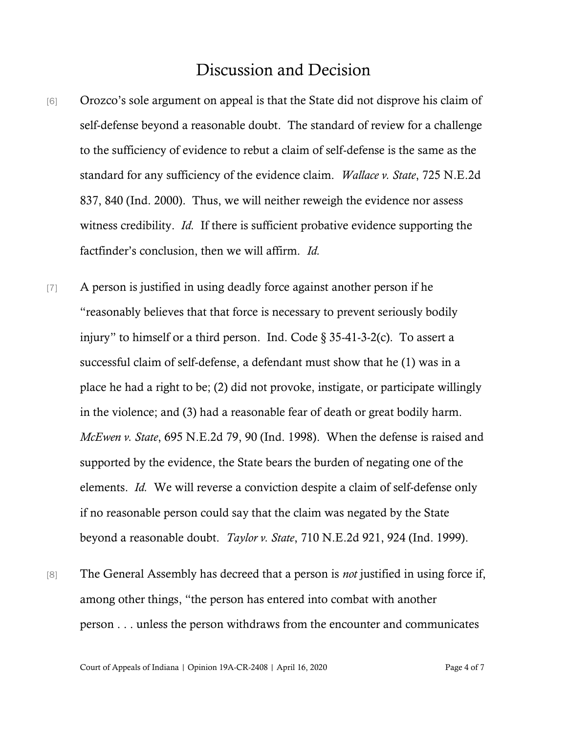## Discussion and Decision

- [6] Orozco's sole argument on appeal is that the State did not disprove his claim of self-defense beyond a reasonable doubt. The standard of review for a challenge to the sufficiency of evidence to rebut a claim of self-defense is the same as the standard for any sufficiency of the evidence claim. *Wallace v. State*, 725 N.E.2d 837, 840 (Ind. 2000). Thus, we will neither reweigh the evidence nor assess witness credibility. *Id.* If there is sufficient probative evidence supporting the factfinder's conclusion, then we will affirm. *Id.*
- [7] A person is justified in using deadly force against another person if he "reasonably believes that that force is necessary to prevent seriously bodily injury" to himself or a third person. Ind. Code § 35-41-3-2(c). To assert a successful claim of self-defense, a defendant must show that he (1) was in a place he had a right to be; (2) did not provoke, instigate, or participate willingly in the violence; and (3) had a reasonable fear of death or great bodily harm. *McEwen v. State*, 695 N.E.2d 79, 90 (Ind. 1998). When the defense is raised and supported by the evidence, the State bears the burden of negating one of the elements. *Id.* We will reverse a conviction despite a claim of self-defense only if no reasonable person could say that the claim was negated by the State beyond a reasonable doubt. *Taylor v. State*, 710 N.E.2d 921, 924 (Ind. 1999).
- [8] The General Assembly has decreed that a person is *not* justified in using force if, among other things, "the person has entered into combat with another person . . . unless the person withdraws from the encounter and communicates

Court of Appeals of Indiana | Opinion 19A-CR-2408 | April 16, 2020 Page 4 of 7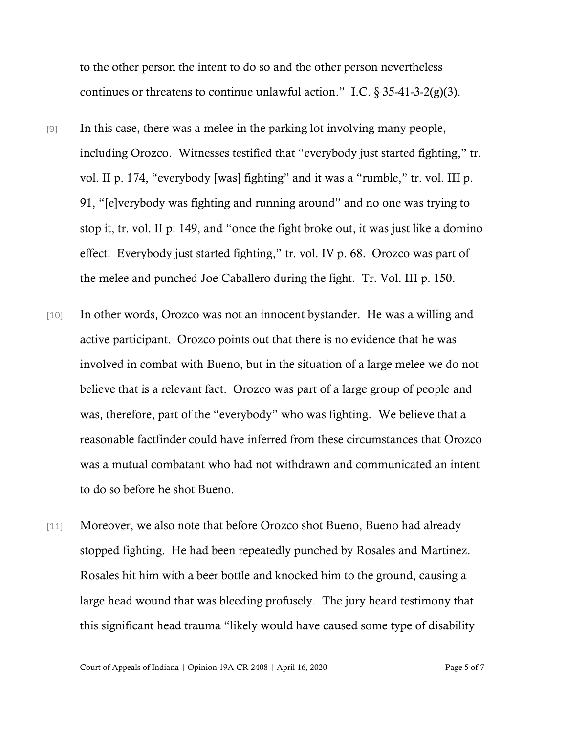to the other person the intent to do so and the other person nevertheless continues or threatens to continue unlawful action." I.C.  $\S 35-41-3-2(g)(3)$ .

- [9] In this case, there was a melee in the parking lot involving many people, including Orozco. Witnesses testified that "everybody just started fighting," tr. vol. II p. 174, "everybody [was] fighting" and it was a "rumble," tr. vol. III p. 91, "[e]verybody was fighting and running around" and no one was trying to stop it, tr. vol. II p. 149, and "once the fight broke out, it was just like a domino effect. Everybody just started fighting," tr. vol. IV p. 68. Orozco was part of the melee and punched Joe Caballero during the fight. Tr. Vol. III p. 150.
- [10] In other words, Orozco was not an innocent bystander. He was a willing and active participant. Orozco points out that there is no evidence that he was involved in combat with Bueno, but in the situation of a large melee we do not believe that is a relevant fact. Orozco was part of a large group of people and was, therefore, part of the "everybody" who was fighting. We believe that a reasonable factfinder could have inferred from these circumstances that Orozco was a mutual combatant who had not withdrawn and communicated an intent to do so before he shot Bueno.
- [11] Moreover, we also note that before Orozco shot Bueno, Bueno had already stopped fighting. He had been repeatedly punched by Rosales and Martinez. Rosales hit him with a beer bottle and knocked him to the ground, causing a large head wound that was bleeding profusely. The jury heard testimony that this significant head trauma "likely would have caused some type of disability

Court of Appeals of Indiana | Opinion 19A-CR-2408 | April 16, 2020 Page 5 of 7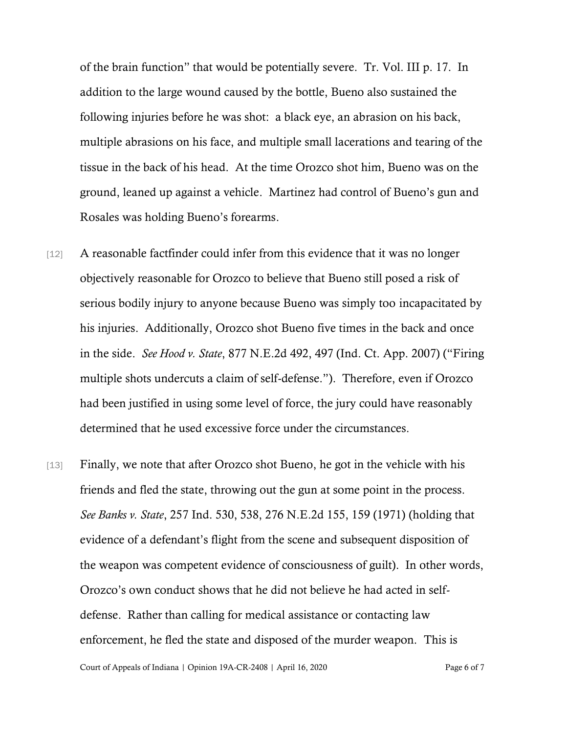of the brain function" that would be potentially severe. Tr. Vol. III p. 17. In addition to the large wound caused by the bottle, Bueno also sustained the following injuries before he was shot: a black eye, an abrasion on his back, multiple abrasions on his face, and multiple small lacerations and tearing of the tissue in the back of his head. At the time Orozco shot him, Bueno was on the ground, leaned up against a vehicle. Martinez had control of Bueno's gun and Rosales was holding Bueno's forearms.

- [12] A reasonable factfinder could infer from this evidence that it was no longer objectively reasonable for Orozco to believe that Bueno still posed a risk of serious bodily injury to anyone because Bueno was simply too incapacitated by his injuries. Additionally, Orozco shot Bueno five times in the back and once in the side. *See Hood v. State*, 877 N.E.2d 492, 497 (Ind. Ct. App. 2007) ("Firing multiple shots undercuts a claim of self-defense."). Therefore, even if Orozco had been justified in using some level of force, the jury could have reasonably determined that he used excessive force under the circumstances.
- [13] Finally, we note that after Orozco shot Bueno, he got in the vehicle with his friends and fled the state, throwing out the gun at some point in the process. *See Banks v. State*, 257 Ind. 530, 538, 276 N.E.2d 155, 159 (1971) (holding that evidence of a defendant's flight from the scene and subsequent disposition of the weapon was competent evidence of consciousness of guilt). In other words, Orozco's own conduct shows that he did not believe he had acted in selfdefense. Rather than calling for medical assistance or contacting law enforcement, he fled the state and disposed of the murder weapon. This is

Court of Appeals of Indiana | Opinion 19A-CR-2408 | April 16, 2020 Page 6 of 7